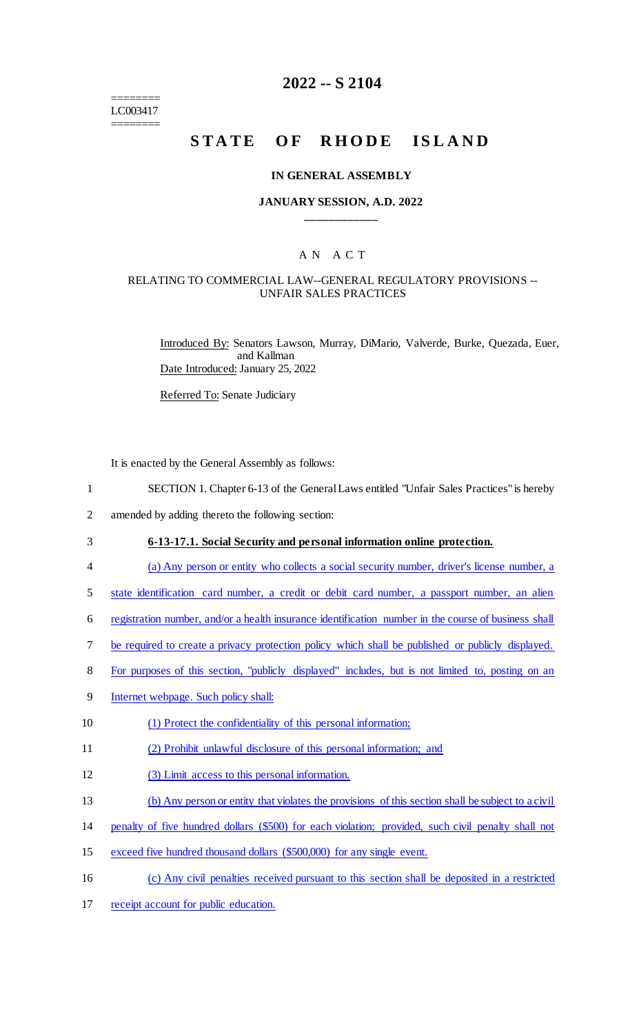======== LC003417 ========

# **2022 -- S 2104**

# STATE OF RHODE ISLAND

#### **IN GENERAL ASSEMBLY**

#### **JANUARY SESSION, A.D. 2022 \_\_\_\_\_\_\_\_\_\_\_\_**

## A N A C T

#### RELATING TO COMMERCIAL LAW--GENERAL REGULATORY PROVISIONS -- UNFAIR SALES PRACTICES

Introduced By: Senators Lawson, Murray, DiMario, Valverde, Burke, Quezada, Euer, and Kallman Date Introduced: January 25, 2022

Referred To: Senate Judiciary

It is enacted by the General Assembly as follows:

- 1 SECTION 1. Chapter 6-13 of the General Laws entitled "Unfair Sales Practices" is hereby
- 2 amended by adding thereto the following section:

## 3 **6-13-17.1. Social Security and personal information online protection.**

- 4 (a) Any person or entity who collects a social security number, driver's license number, a
- 5 state identification card number, a credit or debit card number, a passport number, an alien
- 6 registration number, and/or a health insurance identification number in the course of business shall
- 7 be required to create a privacy protection policy which shall be published or publicly displayed.
- 8 For purposes of this section, "publicly displayed" includes, but is not limited to, posting on an
- 9 Internet webpage. Such policy shall:
- 10 (1) Protect the confidentiality of this personal information;
- 11 (2) Prohibit unlawful disclosure of this personal information; and
- 12 (3) Limit access to this personal information.
- 13 (b) Any person or entity that violates the provisions of this section shall be subject to a civil
- 14 penalty of five hundred dollars (\$500) for each violation; provided, such civil penalty shall not
- 15 exceed five hundred thousand dollars (\$500,000) for any single event.
- 16 (c) Any civil penalties received pursuant to this section shall be deposited in a restricted
- 17 receipt account for public education.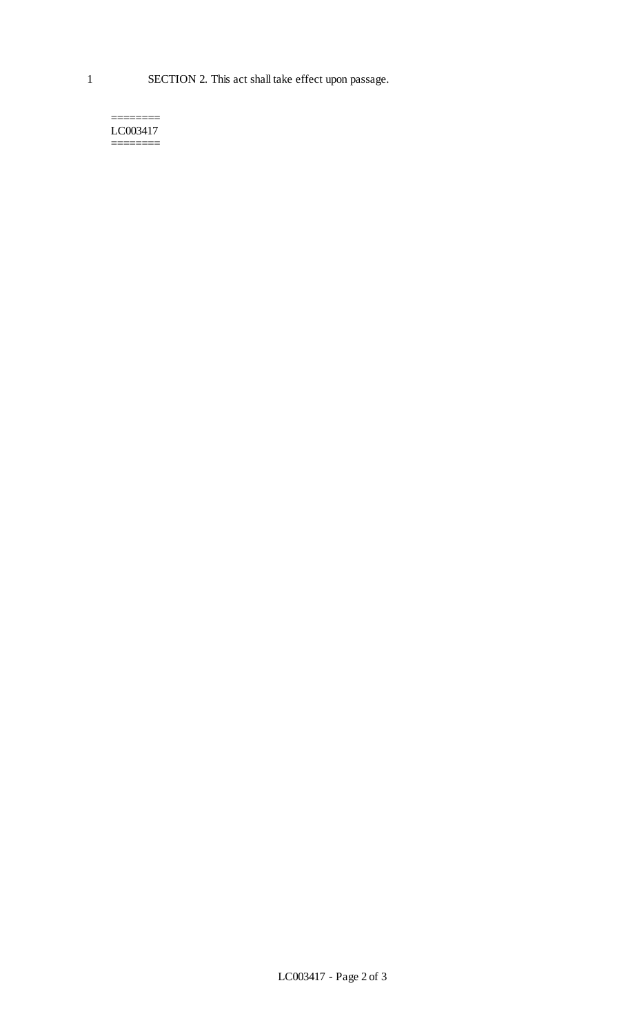======== LC003417 ========